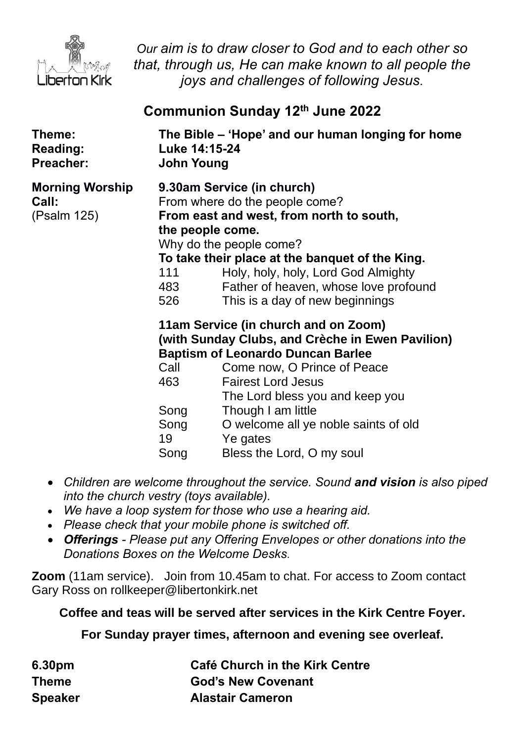

*Our aim is to draw closer to God and to each other so that, through us, He can make known to all people the joys and challenges of following Jesus.*

# **Communion Sunday 12th June 2022**

| Theme:<br><b>Reading:</b><br>Preacher:         | The Bible – 'Hope' and our human longing for home<br>Luke 14:15-24<br><b>John Young</b> |                                                                                                                                                                                                                                                                                                                                            |
|------------------------------------------------|-----------------------------------------------------------------------------------------|--------------------------------------------------------------------------------------------------------------------------------------------------------------------------------------------------------------------------------------------------------------------------------------------------------------------------------------------|
| <b>Morning Worship</b><br>Call:<br>(Psalm 125) | 111<br>483<br>526                                                                       | 9.30am Service (in church)<br>From where do the people come?<br>From east and west, from north to south,<br>the people come.<br>Why do the people come?<br>To take their place at the banquet of the King.<br>Holy, holy, holy, Lord God Almighty<br>Father of heaven, whose love profound<br>This is a day of new beginnings              |
|                                                | Call<br>463<br>Song<br>Song<br>19<br>Song                                               | 11am Service (in church and on Zoom)<br>(with Sunday Clubs, and Crèche in Ewen Pavilion)<br><b>Baptism of Leonardo Duncan Barlee</b><br>Come now, O Prince of Peace<br><b>Fairest Lord Jesus</b><br>The Lord bless you and keep you<br>Though I am little<br>O welcome all ye noble saints of old<br>Ye gates<br>Bless the Lord, O my soul |

- *Children are welcome throughout the service. Sound and vision is also piped into the church vestry (toys available).*
- *We have a loop system for those who use a hearing aid.*
- *Please check that your mobile phone is switched off.*
- *Offerings - Please put any Offering Envelopes or other donations into the Donations Boxes on the Welcome Desks.*

**Zoom** (11am service).Join from 10.45am to chat. For access to Zoom contact Gary Ross on rollkeeper@libertonkirk.net

### **Coffee and teas will be served after services in the Kirk Centre Foyer.**

**For Sunday prayer times, afternoon and evening see overleaf.**

| 6.30pm         | Café Church in the Kirk Centre |
|----------------|--------------------------------|
| <b>Theme</b>   | <b>God's New Covenant</b>      |
| <b>Speaker</b> | <b>Alastair Cameron</b>        |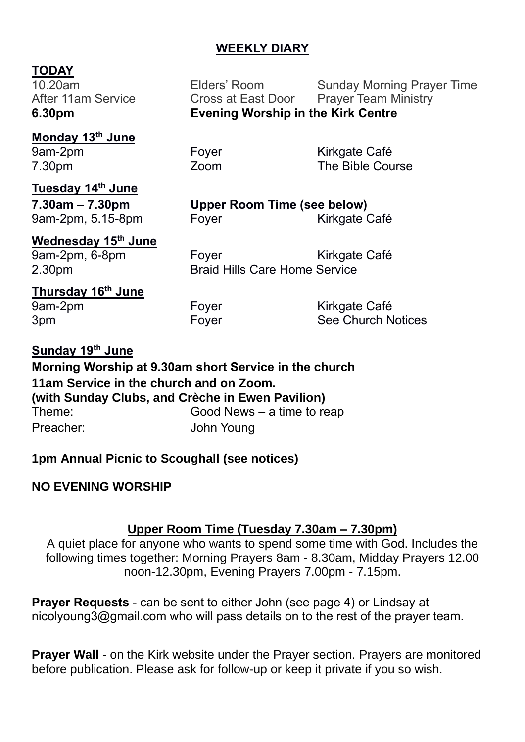# **WEEKLY DIARY**

#### **TODAY**

10.20am Elders' Room Sunday Morning Prayer Time After 11am Service **Cross at East Door** Prayer Team Ministry **6.30pm Evening Worship in the Kirk Centre**

**Monday 13th June** 7.30pm Zoom The Bible Course

**Tuesday 14th June**

**Wednesday 15th June**

Foyer Kirkgate Café

**7.30am – 7.30pm Upper Room Time (see below)** 9am-2pm, 5.15-8pm Foyer Form Kirkgate Café

9am-2pm, 6-8pm Foyer Form Kirkgate Café 2.30pm Braid Hills Care Home Service

**Thursday 16th June** 9am-2pm Foyer Fore Kirkgate Café

3pm **Foyer** Foyer See Church Notices

**Sunday 19 th June Morning Worship at 9.30am short Service in the church 11am Service in the church and on Zoom. (with Sunday Clubs, and Crèche in Ewen Pavilion)** Theme: Good News – a time to reap Preacher: John Young

**1pm Annual Picnic to Scoughall (see notices)**

### **NO EVENING WORSHIP**

### **Upper Room Time (Tuesday 7.30am – 7.30pm)**

A quiet place for anyone who wants to spend some time with God. Includes the following times together: Morning Prayers 8am - 8.30am, Midday Prayers 12.00 noon-12.30pm, Evening Prayers 7.00pm - 7.15pm.

**Prayer Requests** - can be sent to either John (see page 4) or Lindsay at [nicolyoung3@gmail.com](mailto:nicolyoung3@gmail.com) who will pass details on to the rest of the prayer team.

**Prayer Wall -** on the Kirk website under the Prayer section. Prayers are monitored before publication. Please ask for follow-up or keep it private if you so wish.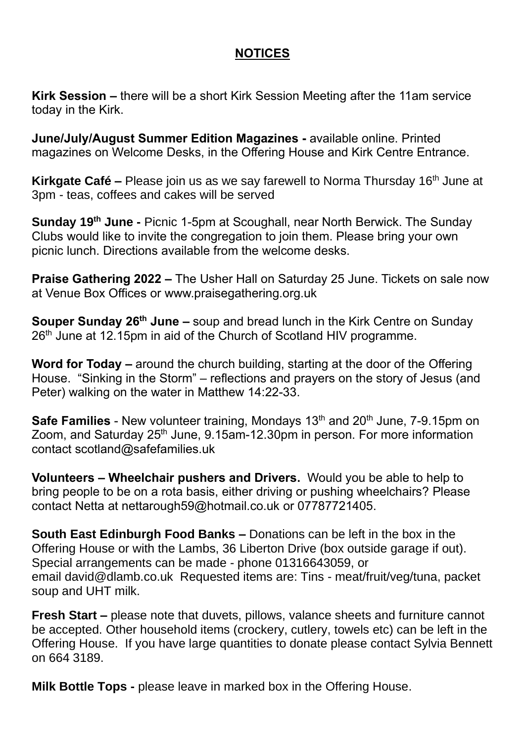# **NOTICES**

**Kirk Session –** there will be a short Kirk Session Meeting after the 11am service today in the Kirk.

**June/July/August Summer Edition Magazines -** available online. Printed magazines on Welcome Desks, in the Offering House and Kirk Centre Entrance.

**Kirkgate Café –** Please join us as we say farewell to Norma Thursday 16<sup>th</sup> June at 3pm - teas, coffees and cakes will be served

**Sunday 19th June -** Picnic 1-5pm at Scoughall, near North Berwick. The Sunday Clubs would like to invite the congregation to join them. Please bring your own picnic lunch. Directions available from the welcome desks.

**Praise Gathering 2022 –** The Usher Hall on Saturday 25 June. Tickets on sale now at Venue Box Offices or www.praisegathering.org.uk

**Souper Sunday 26th June –** soup and bread lunch in the Kirk Centre on Sunday 26<sup>th</sup> June at 12.15pm in aid of the Church of Scotland HIV programme.

**Word for Today –** around the church building, starting at the door of the Offering House. "Sinking in the Storm" – reflections and prayers on the story of Jesus (and Peter) walking on the water in Matthew 14:22-33.

**Safe Families** - New volunteer training, Mondays 13<sup>th</sup> and 20<sup>th</sup> June, 7-9.15pm on Zoom, and Saturday 25<sup>th</sup> June, 9.15am-12.30pm in person. For more information contact scotland@safefamilies.uk

**Volunteers – Wheelchair pushers and Drivers.** Would you be able to help to bring people to be on a rota basis, either driving or pushing wheelchairs? Please contact Netta at [nettarough59@hotmail.co.uk](mailto:nettarough59@hotmail.co.uk) or 07787721405.

**South East Edinburgh Food Banks –** Donations can be left in the box in the Offering House or with the Lambs, 36 Liberton Drive (box outside garage if out). Special arrangements can be made - phone 01316643059, or email [david@dlamb.co.uk](mailto:david@dlamb.co.uk) Requested items are: Tins - meat/fruit/veg/tuna, packet soup and UHT milk.

**Fresh Start –** please note that duvets, pillows, valance sheets and furniture cannot be accepted. Other household items (crockery, cutlery, towels etc) can be left in the Offering House. If you have large quantities to donate please contact Sylvia Bennett on 664 3189.

**Milk Bottle Tops -** please leave in marked box in the Offering House.